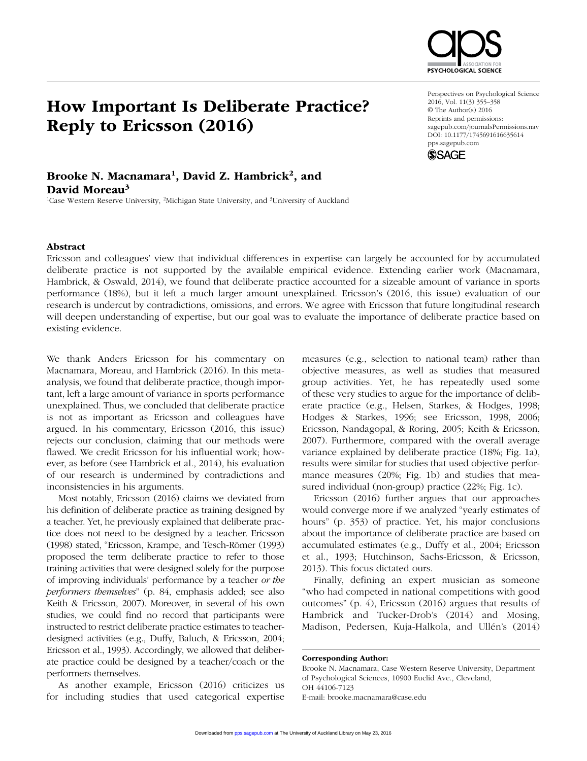

# How Important Is Deliberate Practice? Reply to Ericsson (2016)

#### Perspectives on Psychological Science 2016, Vol. 11(3) 355–358 © The Author(s) 2016 Reprints and permissions: sagepub.com/journalsPermissions.nav DOI: 10.1177/1745691616635614 pps.sagepub.com



## Brooke N. Macnamara<sup>1</sup>, David Z. Hambrick<sup>2</sup>, and David Moreau<sup>3</sup>

<sup>1</sup>Case Western Reserve University, <sup>2</sup>Michigan State University, and <sup>3</sup>University of Auckland

#### Abstract

Ericsson and colleagues' view that individual differences in expertise can largely be accounted for by accumulated deliberate practice is not supported by the available empirical evidence. Extending earlier work (Macnamara, Hambrick, & Oswald, 2014), we found that deliberate practice accounted for a sizeable amount of variance in sports performance (18%), but it left a much larger amount unexplained. Ericsson's (2016, this issue) evaluation of our research is undercut by contradictions, omissions, and errors. We agree with Ericsson that future longitudinal research will deepen understanding of expertise, but our goal was to evaluate the importance of deliberate practice based on existing evidence.

We thank Anders Ericsson for his commentary on Macnamara, Moreau, and Hambrick (2016). In this metaanalysis, we found that deliberate practice, though important, left a large amount of variance in sports performance unexplained. Thus, we concluded that deliberate practice is not as important as Ericsson and colleagues have argued. In his commentary, Ericsson (2016, this issue) rejects our conclusion, claiming that our methods were flawed. We credit Ericsson for his influential work; however, as before (see Hambrick et al., 2014), his evaluation of our research is undermined by contradictions and inconsistencies in his arguments.

Most notably, Ericsson (2016) claims we deviated from his definition of deliberate practice as training designed by a teacher. Yet, he previously explained that deliberate practice does not need to be designed by a teacher. Ericsson (1998) stated, "Ericsson, Krampe, and Tesch-Römer (1993) proposed the term deliberate practice to refer to those training activities that were designed solely for the purpose of improving individuals' performance by a teacher *or the performers themselves*" (p. 84, emphasis added; see also Keith & Ericsson, 2007). Moreover, in several of his own studies, we could find no record that participants were instructed to restrict deliberate practice estimates to teacherdesigned activities (e.g., Duffy, Baluch, & Ericsson, 2004; Ericsson et al., 1993). Accordingly, we allowed that deliberate practice could be designed by a teacher/coach or the performers themselves.

As another example, Ericsson (2016) criticizes us for including studies that used categorical expertise

measures (e.g., selection to national team) rather than objective measures, as well as studies that measured group activities. Yet, he has repeatedly used some of these very studies to argue for the importance of deliberate practice (e.g., Helsen, Starkes, & Hodges, 1998; Hodges & Starkes, 1996; see Ericsson, 1998, 2006; Ericsson, Nandagopal, & Roring, 2005; Keith & Ericsson, 2007). Furthermore, compared with the overall average variance explained by deliberate practice (18%; Fig. 1a), results were similar for studies that used objective performance measures (20%; Fig. 1b) and studies that measured individual (non-group) practice (22%; Fig. 1c).

Ericsson (2016) further argues that our approaches would converge more if we analyzed "yearly estimates of hours" (p. 353) of practice. Yet, his major conclusions about the importance of deliberate practice are based on accumulated estimates (e.g., Duffy et al., 2004; Ericsson et al., 1993; Hutchinson, Sachs-Ericsson, & Ericsson, 2013). This focus dictated ours.

Finally, defining an expert musician as someone "who had competed in national competitions with good outcomes" (p. 4), Ericsson (2016) argues that results of Hambrick and Tucker-Drob's (2014) and Mosing, Madison, Pedersen, Kuja-Halkola, and Ullén's (2014)

Brooke N. Macnamara, Case Western Reserve University, Department of Psychological Sciences, 10900 Euclid Ave., Cleveland, OH 44106-7123 E-mail: brooke.macnamara@case.edu

Corresponding Author: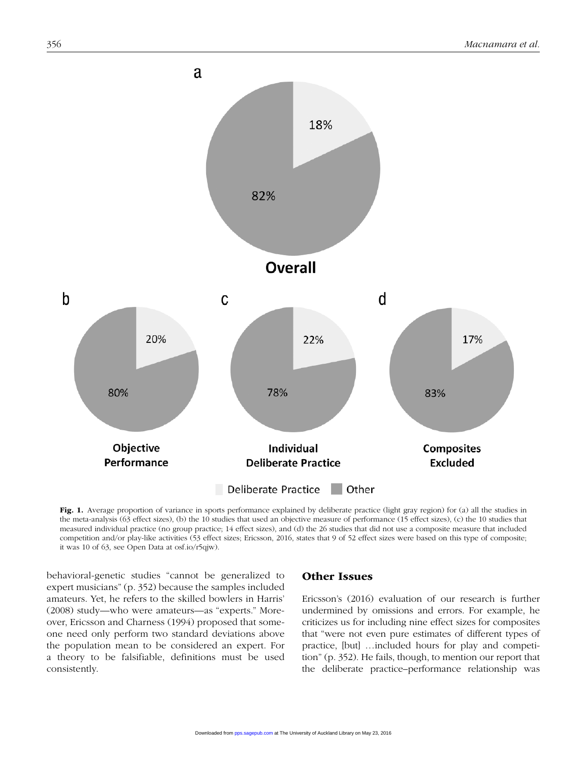

Fig. 1. Average proportion of variance in sports performance explained by deliberate practice (light gray region) for (a) all the studies in the meta-analysis (63 effect sizes), (b) the 10 studies that used an objective measure of performance (15 effect sizes), (c) the 10 studies that measured individual practice (no group practice; 14 effect sizes), and (d) the 26 studies that did not use a composite measure that included competition and/or play-like activities (53 effect sizes; Ericsson, 2016, states that 9 of 52 effect sizes were based on this type of composite; it was 10 of 63, see Open Data at osf.io/r5qjw).

behavioral-genetic studies "cannot be generalized to expert musicians" (p. 352) because the samples included amateurs. Yet, he refers to the skilled bowlers in Harris' (2008) study—who were amateurs—as "experts." Moreover, Ericsson and Charness (1994) proposed that someone need only perform two standard deviations above the population mean to be considered an expert. For a theory to be falsifiable, definitions must be used consistently.

## Other Issues

Ericsson's (2016) evaluation of our research is further undermined by omissions and errors. For example, he criticizes us for including nine effect sizes for composites that "were not even pure estimates of different types of practice, [but] …included hours for play and competition" (p. 352). He fails, though, to mention our report that the deliberate practice–performance relationship was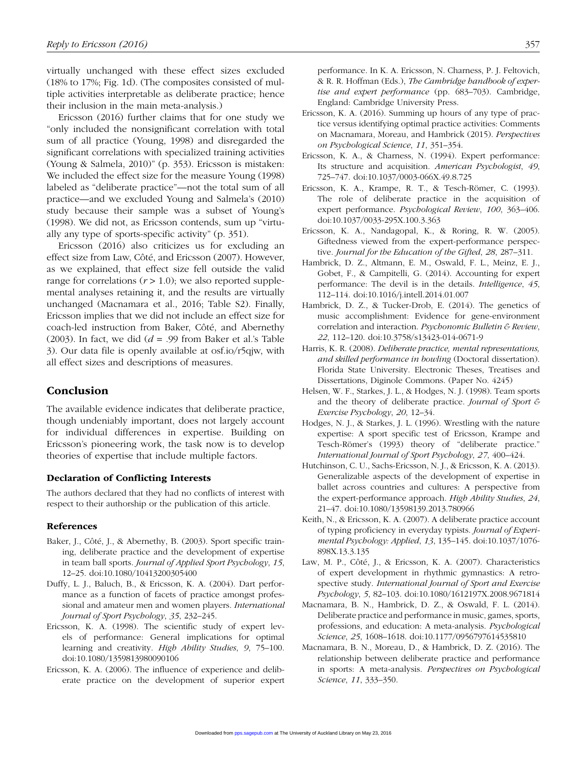virtually unchanged with these effect sizes excluded (18% to 17%; Fig. 1d). (The composites consisted of multiple activities interpretable as deliberate practice; hence their inclusion in the main meta-analysis.)

Ericsson (2016) further claims that for one study we "only included the nonsignificant correlation with total sum of all practice (Young, 1998) and disregarded the significant correlations with specialized training activities (Young & Salmela, 2010)" (p. 353). Ericsson is mistaken: We included the effect size for the measure Young (1998) labeled as "deliberate practice"—not the total sum of all practice—and we excluded Young and Salmela's (2010) study because their sample was a subset of Young's (1998). We did not, as Ericsson contends, sum up "virtually any type of sports-specific activity" (p. 351).

Ericsson (2016) also criticizes us for excluding an effect size from Law, Côté, and Ericsson (2007). However, as we explained, that effect size fell outside the valid range for correlations  $(r > 1.0)$ ; we also reported supplemental analyses retaining it, and the results are virtually unchanged (Macnamara et al., 2016; Table S2). Finally, Ericsson implies that we did not include an effect size for coach-led instruction from Baker, Côté, and Abernethy (2003). In fact, we did  $(d = .99)$  from Baker et al.'s Table 3). Our data file is openly available at osf.io/r5qjw, with all effect sizes and descriptions of measures.

### Conclusion

The available evidence indicates that deliberate practice, though undeniably important, does not largely account for individual differences in expertise. Building on Ericsson's pioneering work, the task now is to develop theories of expertise that include multiple factors.

#### Declaration of Conflicting Interests

The authors declared that they had no conflicts of interest with respect to their authorship or the publication of this article.

#### References

- Baker, J., Côté, J., & Abernethy, B. (2003). Sport specific training, deliberate practice and the development of expertise in team ball sports. *Journal of Applied Sport Psychology*, *15*, 12–25. doi:10.1080/10413200305400
- Duffy, L. J., Baluch, B., & Ericsson, K. A. (2004). Dart performance as a function of facets of practice amongst professional and amateur men and women players. *International Journal of Sport Psychology*, *35*, 232–245.
- Ericsson, K. A. (1998). The scientific study of expert levels of performance: General implications for optimal learning and creativity. *High Ability Studies*, *9*, 75–100. doi:10.1080/1359813980090106
- Ericsson, K. A. (2006). The influence of experience and deliberate practice on the development of superior expert

performance. In K. A. Ericsson, N. Charness, P. J. Feltovich, & R. R. Hoffman (Eds.), *The Cambridge handbook of expertise and expert performance* (pp. 683–703). Cambridge, England: Cambridge University Press.

- Ericsson, K. A. (2016). Summing up hours of any type of practice versus identifying optimal practice activities: Comments on Macnamara, Moreau, and Hambrick (2015). *Perspectives on Psychological Science*, *11*, 351–354.
- Ericsson, K. A., & Charness, N. (1994). Expert performance: Its structure and acquisition. *American Psychologist*, *49*, 725–747. doi:10.1037/0003-066X.49.8.725
- Ericsson, K. A., Krampe, R. T., & Tesch-Römer, C. (1993). The role of deliberate practice in the acquisition of expert performance. *Psychological Review*, *100*, 363–406. doi:10.1037/0033-295X.100.3.363
- Ericsson, K. A., Nandagopal, K., & Roring, R. W. (2005). Giftedness viewed from the expert-performance perspective. *Journal for the Education of the Gifted*, *28*, 287–311.
- Hambrick, D. Z., Altmann, E. M., Oswald, F. L., Meinz, E. J., Gobet, F., & Campitelli, G. (2014). Accounting for expert performance: The devil is in the details. *Intelligence*, *45*, 112–114. doi:10.1016/j.intell.2014.01.007
- Hambrick, D. Z., & Tucker-Drob, E. (2014). The genetics of music accomplishment: Evidence for gene-environment correlation and interaction. *Psychonomic Bulletin & Review*, *22*, 112–120. doi:10.3758/s13423-014-0671-9
- Harris, K. R. (2008). *Deliberate practice, mental representations, and skilled performance in bowling* (Doctoral dissertation). Florida State University. Electronic Theses, Treatises and Dissertations, Diginole Commons. (Paper No. 4245)
- Helsen, W. F., Starkes, J. L., & Hodges, N. J. (1998). Team sports and the theory of deliberate practice. *Journal of Sport & Exercise Psychology*, *20*, 12–34.
- Hodges, N. J., & Starkes, J. L. (1996). Wrestling with the nature expertise: A sport specific test of Ericsson, Krampe and Tesch-Römer's (1993) theory of "deliberate practice." *International Journal of Sport Psychology*, *27*, 400–424.
- Hutchinson, C. U., Sachs-Ericsson, N. J., & Ericsson, K. A. (2013). Generalizable aspects of the development of expertise in ballet across countries and cultures: A perspective from the expert-performance approach. *High Ability Studies*, *24*, 21–47. doi:10.1080/13598139.2013.780966
- Keith, N., & Ericsson, K. A. (2007). A deliberate practice account of typing proficiency in everyday typists. *Journal of Experimental Psychology: Applied*, *13*, 135–145. doi:10.1037/1076- 898X.13.3.135
- Law, M. P., Côté, J., & Ericsson, K. A. (2007). Characteristics of expert development in rhythmic gymnastics: A retrospective study. *International Journal of Sport and Exercise Psychology*, *5*, 82–103. doi:10.1080/1612197X.2008.9671814
- Macnamara, B. N., Hambrick, D. Z., & Oswald, F. L. (2014). Deliberate practice and performance in music, games, sports, professions, and education: A meta-analysis. *Psychological Science*, *25*, 1608–1618. doi:10.1177/0956797614535810
- Macnamara, B. N., Moreau, D., & Hambrick, D. Z. (2016). The relationship between deliberate practice and performance in sports: A meta-analysis. *Perspectives on Psychological Science*, *11*, 333–350.